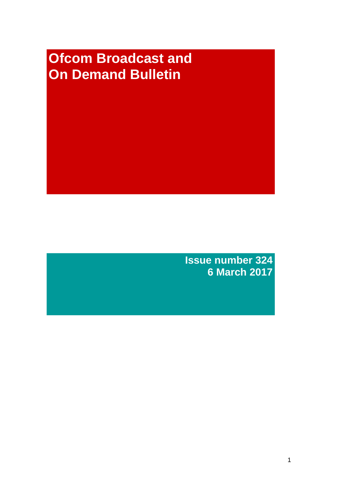# **Ofcom Broadcast and On Demand Bulletin**

**Issue number 324 6 March 2017**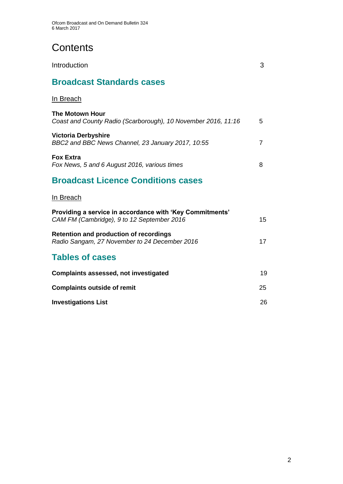# **Contents**

| Introduction                                                                                           | 3  |
|--------------------------------------------------------------------------------------------------------|----|
| <b>Broadcast Standards cases</b>                                                                       |    |
| In Breach                                                                                              |    |
| <b>The Motown Hour</b><br>Coast and County Radio (Scarborough), 10 November 2016, 11:16                | 5  |
| <b>Victoria Derbyshire</b><br>BBC2 and BBC News Channel, 23 January 2017, 10:55                        | 7  |
| <b>Fox Extra</b><br>Fox News, 5 and 6 August 2016, various times                                       | 8  |
| <b>Broadcast Licence Conditions cases</b>                                                              |    |
| In Breach                                                                                              |    |
| Providing a service in accordance with 'Key Commitments'<br>CAM FM (Cambridge), 9 to 12 September 2016 | 15 |
| <b>Retention and production of recordings</b><br>Radio Sangam, 27 November to 24 December 2016         | 17 |
| <b>Tables of cases</b>                                                                                 |    |
| <b>Complaints assessed, not investigated</b>                                                           | 19 |
| <b>Complaints outside of remit</b>                                                                     | 25 |
| <b>Investigations List</b>                                                                             | 26 |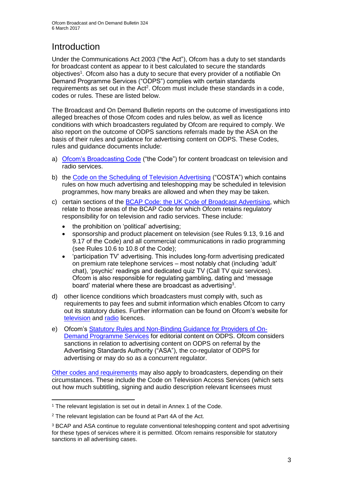# **Introduction**

Under the Communications Act 2003 ("the Act"), Ofcom has a duty to set standards for broadcast content as appear to it best calculated to secure the standards objectives<sup>1</sup>. Ofcom also has a duty to secure that every provider of a notifiable On Demand Programme Services ("ODPS") complies with certain standards requirements as set out in the Act<sup>2</sup>. Ofcom must include these standards in a code, codes or rules. These are listed below.

The Broadcast and On Demand Bulletin reports on the outcome of investigations into alleged breaches of those Ofcom codes and rules below, as well as licence conditions with which broadcasters regulated by Ofcom are required to comply. We also report on the outcome of ODPS sanctions referrals made by the ASA on the basis of their rules and guidance for advertising content on ODPS. These Codes, rules and guidance documents include:

- a) [Ofcom's Broadcasting Code](http://stakeholders.ofcom.org.uk/broadcasting/broadcast-codes/broadcast-code/) ("the Code") for content broadcast on television and radio services.
- b) the [Code on the Scheduling of Television Advertising](https://www.ofcom.org.uk/__data/assets/pdf_file/0014/32162/costa-april-2016.pdf) ("COSTA") which contains rules on how much advertising and teleshopping may be scheduled in television programmes, how many breaks are allowed and when they may be taken.
- c) certain sections of the [BCAP Code: the UK Code of Broadcast Advertising,](https://www.cap.org.uk/Advertising-Codes/Broadcast.aspx) which relate to those areas of the BCAP Code for which Ofcom retains regulatory responsibility for on television and radio services. These include:
	- the prohibition on 'political' advertising;
	- sponsorship and product placement on television (see Rules 9.13, 9.16 and 9.17 of the Code) and all commercial communications in radio programming (see Rules 10.6 to 10.8 of the Code);
	- 'participation TV' advertising. This includes long-form advertising predicated on premium rate telephone services – most notably chat (including 'adult' chat), 'psychic' readings and dedicated quiz TV (Call TV quiz services). Ofcom is also responsible for regulating gambling, dating and 'message board' material where these are broadcast as advertising<sup>3</sup>.
- d) other licence conditions which broadcasters must comply with, such as requirements to pay fees and submit information which enables Ofcom to carry out its statutory duties. Further information can be found on Ofcom's website for [television](http://licensing.ofcom.org.uk/tv-broadcast-licences/) and [radio](http://licensing.ofcom.org.uk/radio-broadcast-licensing/) licences.
- e) Ofcom's [Statutory Rules and Non-Binding Guidance for Providers of On-](http://stakeholders.ofcom.org.uk/binaries/broadcast/on-demand/rules-guidance/rules_and_guidance.pdf)[Demand Programme Services](http://stakeholders.ofcom.org.uk/binaries/broadcast/on-demand/rules-guidance/rules_and_guidance.pdf) for editorial content on ODPS. Ofcom considers sanctions in relation to advertising content on ODPS on referral by the Advertising Standards Authority ("ASA"), the co-regulator of ODPS for advertising or may do so as a concurrent regulator.

[Other codes and requirements](http://stakeholders.ofcom.org.uk/broadcasting/broadcast-codes/) may also apply to broadcasters, depending on their circumstances. These include the Code on Television Access Services (which sets out how much subtitling, signing and audio description relevant licensees must

<sup>1</sup> <sup>1</sup> The relevant legislation is set out in detail in Annex 1 of the Code.

<sup>&</sup>lt;sup>2</sup> The relevant legislation can be found at Part 4A of the Act.

<sup>3</sup> BCAP and ASA continue to regulate conventional teleshopping content and spot advertising for these types of services where it is permitted. Ofcom remains responsible for statutory sanctions in all advertising cases.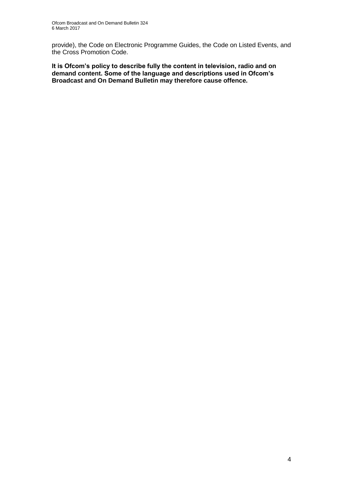provide), the Code on Electronic Programme Guides, the Code on Listed Events, and the Cross Promotion Code.

**It is Ofcom's policy to describe fully the content in television, radio and on demand content. Some of the language and descriptions used in Ofcom's Broadcast and On Demand Bulletin may therefore cause offence.**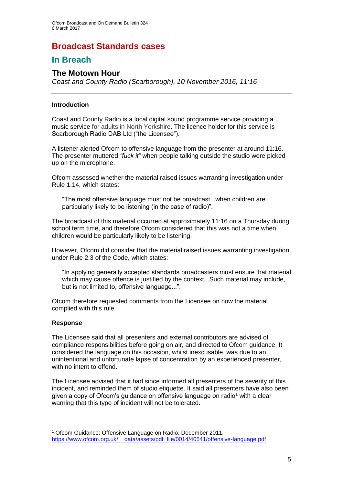# **Broadcast Standards cases**

# **In Breach**

# **The Motown Hour**

*Coast and County Radio (Scarborough), 10 November 2016, 11:16*

### **Introduction**

Coast and County Radio is a local digital sound programme service providing a music service for adults in North Yorkshire. The licence holder for this service is Scarborough Radio DAB Ltd ("the Licensee").

A listener alerted Ofcom to offensive language from the presenter at around 11:16. The presenter muttered *"fuck it"* when people talking outside the studio were picked up on the microphone.

Ofcom assessed whether the material raised issues warranting investigation under Rule 1.14, which states:

"The most offensive language must not be broadcast...when children are particularly likely to be listening (in the case of radio)".

The broadcast of this material occurred at approximately 11:16 on a Thursday during school term time, and therefore Ofcom considered that this was not a time when children would be particularly likely to be listening.

However, Ofcom did consider that the material raised issues warranting investigation under Rule 2.3 of the Code, which states:

"In applying generally accepted standards broadcasters must ensure that material which may cause offence is justified by the context...Such material may include, but is not limited to, offensive language...".

Ofcom therefore requested comments from the Licensee on how the material complied with this rule.

### **Response**

1

The Licensee said that all presenters and external contributors are advised of compliance responsibilities before going on air, and directed to Ofcom guidance. It considered the language on this occasion, whilst inexcusable, was due to an unintentional and unfortunate lapse of concentration by an experienced presenter, with no intent to offend.

The Licensee advised that it had since informed all presenters of the severity of this incident, and reminded them of studio etiquette. It said all presenters have also been given a copy of Ofcom's guidance on offensive language on radio<sup>1</sup> with a clear warning that this type of incident will not be tolerated.

<sup>1</sup> Ofcom Guidance: Offensive Language on Radio, December 2011: https://www.ofcom.org.uk/ data/assets/pdf file/0014/40541/offensive-language.pdf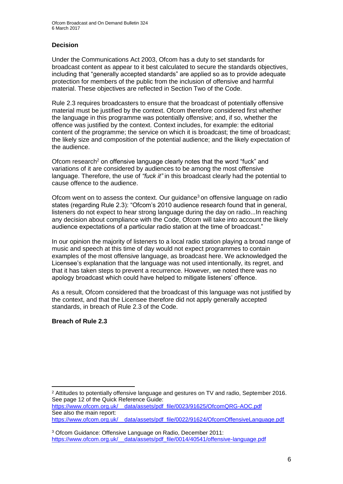# **Decision**

Under the Communications Act 2003, Ofcom has a duty to set standards for broadcast content as appear to it best calculated to secure the standards objectives, including that "generally accepted standards" are applied so as to provide adequate protection for members of the public from the inclusion of offensive and harmful material. These objectives are reflected in Section Two of the Code.

Rule 2.3 requires broadcasters to ensure that the broadcast of potentially offensive material must be justified by the context. Ofcom therefore considered first whether the language in this programme was potentially offensive; and, if so, whether the offence was justified by the context. Context includes, for example: the editorial content of the programme; the service on which it is broadcast; the time of broadcast; the likely size and composition of the potential audience; and the likely expectation of the audience.

Ofcom research<sup>2</sup> on offensive language clearly notes that the word "fuck" and variations of it are considered by audiences to be among the most offensive language. Therefore, the use of *"fuck it"* in this broadcast clearly had the potential to cause offence to the audience.

Ofcom went on to assess the context. Our guidance<sup>3</sup> on offensive language on radio states (regarding Rule 2.3): "Ofcom's 2010 audience research found that in general, listeners do not expect to hear strong language during the day on radio...In reaching any decision about compliance with the Code, Ofcom will take into account the likely audience expectations of a particular radio station at the time of broadcast."

In our opinion the majority of listeners to a local radio station playing a broad range of music and speech at this time of day would not expect programmes to contain examples of the most offensive language, as broadcast here. We acknowledged the Licensee's explanation that the language was not used intentionally, its regret, and that it has taken steps to prevent a recurrence. However, we noted there was no apology broadcast which could have helped to mitigate listeners' offence.

As a result, Ofcom considered that the broadcast of this language was not justified by the context, and that the Licensee therefore did not apply generally accepted standards, in breach of Rule 2.3 of the Code.

### **Breach of Rule 2.3**

1

See also the main report: [https://www.ofcom.org.uk/\\_\\_data/assets/pdf\\_file/0022/91624/OfcomOffensiveLanguage.pdf](https://www.ofcom.org.uk/__data/assets/pdf_file/0022/91624/OfcomOffensiveLanguage.pdf)

<sup>2</sup> Attitudes to potentially offensive language and gestures on TV and radio, September 2016. See page 12 of the Quick Reference Guide: [https://www.ofcom.org.uk/\\_\\_data/assets/pdf\\_file/0023/91625/OfcomQRG-AOC.pdf](https://www.ofcom.org.uk/__data/assets/pdf_file/0023/91625/OfcomQRG-AOC.pdf)

<sup>3</sup> Ofcom Guidance: Offensive Language on Radio, December 2011: https://www.ofcom.org.uk/ data/assets/pdf file/0014/40541/offensive-language.pdf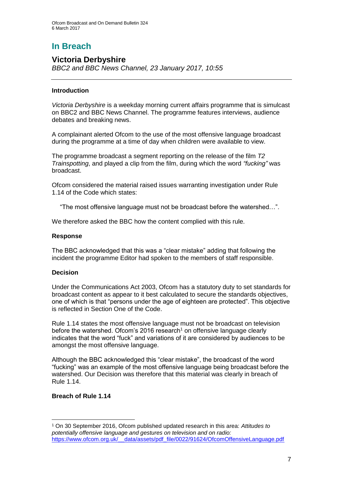# **In Breach**

# **Victoria Derbyshire**

*BBC2 and BBC News Channel, 23 January 2017, 10:55*

# **Introduction**

*Victoria Derbyshire* is a weekday morning current affairs programme that is simulcast on BBC2 and BBC News Channel. The programme features interviews, audience debates and breaking news.

A complainant alerted Ofcom to the use of the most offensive language broadcast during the programme at a time of day when children were available to view.

The programme broadcast a segment reporting on the release of the film *T2 Trainspotting*, and played a clip from the film, during which the word *"fucking"* was broadcast.

Ofcom considered the material raised issues warranting investigation under Rule 1.14 of the Code which states:

"The most offensive language must not be broadcast before the watershed…".

We therefore asked the BBC how the content complied with this rule.

### **Response**

The BBC acknowledged that this was a "clear mistake" adding that following the incident the programme Editor had spoken to the members of staff responsible.

### **Decision**

Under the Communications Act 2003, Ofcom has a statutory duty to set standards for broadcast content as appear to it best calculated to secure the standards objectives, one of which is that "persons under the age of eighteen are protected". This objective is reflected in Section One of the Code.

Rule 1.14 states the most offensive language must not be broadcast on television before the watershed. Ofcom's 2016 research<sup>1</sup> on offensive language clearly indicates that the word "fuck" and variations of it are considered by audiences to be amongst the most offensive language.

Although the BBC acknowledged this "clear mistake", the broadcast of the word "fucking" was an example of the most offensive language being broadcast before the watershed. Our Decision was therefore that this material was clearly in breach of Rule 1.14.

# **Breach of Rule 1.14**

1

<sup>1</sup> On 30 September 2016, Ofcom published updated research in this area: *Attitudes to potentially offensive language and gestures on television and on radio:*  [https://www.ofcom.org.uk/\\_\\_data/assets/pdf\\_file/0022/91624/OfcomOffensiveLanguage.pdf](https://www.ofcom.org.uk/__data/assets/pdf_file/0022/91624/OfcomOffensiveLanguage.pdf)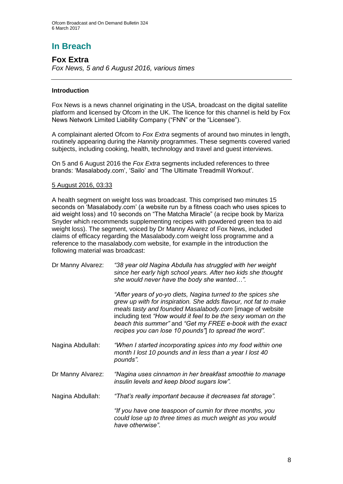# **In Breach**

### **Fox Extra** *Fox News, 5 and 6 August 2016, various times*

# **Introduction**

Fox News is a news channel originating in the USA, broadcast on the digital satellite platform and licensed by Ofcom in the UK. The licence for this channel is held by Fox News Network Limited Liability Company ("FNN" or the "Licensee").

A complainant alerted Ofcom to *Fox Extra* segments of around two minutes in length, routinely appearing during the *Hannity* programmes. These segments covered varied subjects, including cooking, health, technology and travel and guest interviews.

On 5 and 6 August 2016 the *Fox Extra* segments included references to three brands: 'Masalabody.com', 'Sailo' and 'The Ultimate Treadmill Workout'.

### 5 August 2016, 03:33

A health segment on weight loss was broadcast. This comprised two minutes 15 seconds on 'Masalabody.com' (a website run by a fitness coach who uses spices to aid weight loss) and 10 seconds on "The Matcha Miracle" (a recipe book by Mariza Snyder which recommends supplementing recipes with powdered green tea to aid weight loss). The segment, voiced by Dr Manny Alvarez of Fox News, included claims of efficacy regarding the Masalabody.com weight loss programme and a reference to the masalabody.com website, for example in the introduction the following material was broadcast:

| Dr Manny Alvarez: | "38 year old Nagina Abdulla has struggled with her weight<br>since her early high school years. After two kids she thought<br>she would never have the body she wanted".                                                                                                                                                                                                          |
|-------------------|-----------------------------------------------------------------------------------------------------------------------------------------------------------------------------------------------------------------------------------------------------------------------------------------------------------------------------------------------------------------------------------|
|                   | "After years of yo-yo diets, Nagina turned to the spices she<br>grew up with for inspiration. She adds flavour, not fat to make<br>meals tasty and founded Masalabody.com [image of website<br>including text "How would it feel to be the sexy woman on the<br>beach this summer" and "Get my FREE e-book with the exact<br>recipes you can lose 10 pounds" to spread the word". |
| Nagina Abdullah:  | "When I started incorporating spices into my food within one<br>month I lost 10 pounds and in less than a year I lost 40<br>pounds".                                                                                                                                                                                                                                              |
| Dr Manny Alvarez: | "Nagina uses cinnamon in her breakfast smoothie to manage<br>insulin levels and keep blood sugars low".                                                                                                                                                                                                                                                                           |
| Nagina Abdullah:  | "That's really important because it decreases fat storage".                                                                                                                                                                                                                                                                                                                       |
|                   | "If you have one teaspoon of cumin for three months, you<br>could lose up to three times as much weight as you would<br>have otherwise".                                                                                                                                                                                                                                          |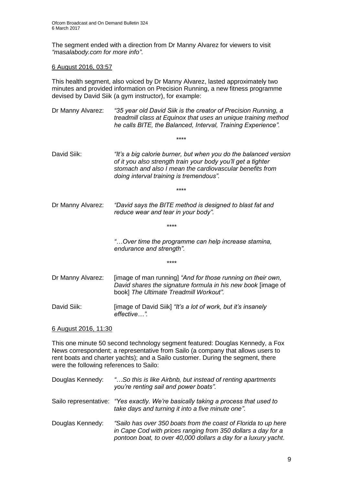The segment ended with a direction from Dr Manny Alvarez for viewers to visit *"masalabody.com for more info"*.

#### 6 August 2016, 03:57

This health segment, also voiced by Dr Manny Alvarez, lasted approximately two minutes and provided information on Precision Running, a new fitness programme devised by David Siik (a gym instructor), for example:

- Dr Manny Alvarez: *"35 year old David Siik is the creator of Precision Running, a treadmill class at Equinox that uses an unique training method he calls BITE, the Balanced, Interval, Training Experience".*
- David Siik: *"It's a big calorie burner, but when you do the balanced version of it you also strength train your body you'll get a tighter stomach and also I mean the cardiovascular benefits from doing interval training is tremendous".*

\*\*\*\*

\*\*\*\*

Dr Manny Alvarez: *"David says the BITE method is designed to blast fat and reduce wear and tear in your body".* 

*\*\*\*\**

*"…Over time the programme can help increase stamina, endurance and strength".*

*\*\*\*\**

- Dr Manny Alvarez: [image of man running] *"And for those running on their own, David shares the signature formula in his new book* [image of book] *The Ultimate Treadmill Workout".*
- David Siik: **[image of David Siik]** *"It's a lot of work, but it's insanely effective…".*

6 August 2016, 11:30

This one minute 50 second technology segment featured: Douglas Kennedy, a Fox News correspondent; a representative from Sailo (a company that allows users to rent boats and charter yachts); and a Sailo customer. During the segment, there were the following references to Sailo:

| Douglas Kennedy: | "So this is like Airbnb, but instead of renting apartments<br>you're renting sail and power boats".                                                                                              |
|------------------|--------------------------------------------------------------------------------------------------------------------------------------------------------------------------------------------------|
|                  | Sailo representative: "Yes exactly. We're basically taking a process that used to<br>take days and turning it into a five minute one".                                                           |
| Douglas Kennedy: | "Sailo has over 350 boats from the coast of Florida to up here<br>in Cape Cod with prices ranging from 350 dollars a day for a<br>pontoon boat, to over 40,000 dollars a day for a luxury yacht. |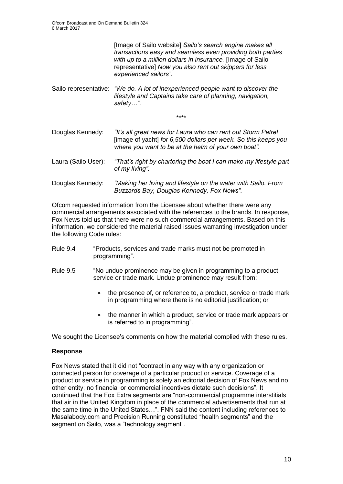[Image of Sailo website] *Sailo's search engine makes all transactions easy and seamless even providing both parties with up to a million dollars in insurance.* [Image of Sailo representative] *Now you also rent out skippers for less experienced sailors"*.

Sailo representative: *"We do. A lot of inexperienced people want to discover the lifestyle and Captains take care of planning, navigation, safety…".* 

\*\*\*\*

- Douglas Kennedy: *"It's all great news for Laura who can rent out Storm Petrel*  [image of yacht] *for 6,500 dollars per week. So this keeps you where you want to be at the helm of your own boat".*
- Laura (Sailo User): *"That's right by chartering the boat I can make my lifestyle part of my living".*
- Douglas Kennedy: *"Making her living and lifestyle on the water with Sailo. From Buzzards Bay, Douglas Kennedy, Fox News".*

Ofcom requested information from the Licensee about whether there were any commercial arrangements associated with the references to the brands. In response, Fox News told us that there were no such commercial arrangements. Based on this information, we considered the material raised issues warranting investigation under the following Code rules:

- Rule 9.4 "Products, services and trade marks must not be promoted in programming".
- Rule 9.5 "No undue prominence may be given in programming to a product, service or trade mark. Undue prominence may result from:
	- the presence of, or reference to, a product, service or trade mark in programming where there is no editorial justification; or
	- the manner in which a product, service or trade mark appears or is referred to in programming".

We sought the Licensee's comments on how the material complied with these rules.

### **Response**

Fox News stated that it did not "contract in any way with any organization or connected person for coverage of a particular product or service. Coverage of a product or service in programming is solely an editorial decision of Fox News and no other entity; no financial or commercial incentives dictate such decisions". It continued that the Fox Extra segments are "non-commercial programme interstitials that air in the United Kingdom in place of the commercial advertisements that run at the same time in the United States…". FNN said the content including references to Masalabody.com and Precision Running constituted "health segments" and the segment on Sailo, was a "technology segment".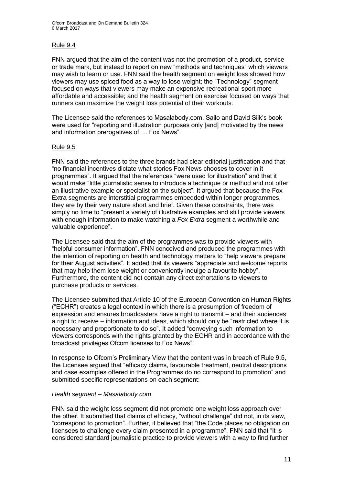# Rule 9.4

FNN argued that the aim of the content was not the promotion of a product, service or trade mark, but instead to report on new "methods and techniques" which viewers may wish to learn or use. FNN said the health segment on weight loss showed how viewers may use spiced food as a way to lose weight; the "Technology" segment focused on ways that viewers may make an expensive recreational sport more affordable and accessible; and the health segment on exercise focused on ways that runners can maximize the weight loss potential of their workouts.

The Licensee said the references to Masalabody.com, Sailo and David Siik's book were used for "reporting and illustration purposes only [and] motivated by the news and information prerogatives of … Fox News".

### Rule 9.5

FNN said the references to the three brands had clear editorial justification and that "no financial incentives dictate what stories Fox News chooses to cover in it programmes". It argued that the references "were used for illustration" and that it would make "little journalistic sense to introduce a technique or method and not offer an illustrative example or specialist on the subject". It argued that because the Fox Extra segments are interstitial programmes embedded within longer programmes, they are by their very nature short and brief. Given these constraints, there was simply no time to "present a variety of illustrative examples and still provide viewers with enough information to make watching a *Fox Extra* segment a worthwhile and valuable experience".

The Licensee said that the aim of the programmes was to provide viewers with "helpful consumer information". FNN conceived and produced the programmes with the intention of reporting on health and technology matters to "help viewers prepare for their August activities". It added that its viewers "appreciate and welcome reports that may help them lose weight or conveniently indulge a favourite hobby". Furthermore, the content did not contain any direct exhortations to viewers to purchase products or services.

The Licensee submitted that Article 10 of the European Convention on Human Rights ("ECHR") creates a legal context in which there is a presumption of freedom of expression and ensures broadcasters have a right to transmit – and their audiences a right to receive – information and ideas, which should only be "restricted where it is necessary and proportionate to do so". It added "conveying such information to viewers corresponds with the rights granted by the ECHR and in accordance with the broadcast privileges Ofcom licenses to Fox News".

In response to Ofcom's Preliminary View that the content was in breach of Rule 9.5, the Licensee argued that "efficacy claims, favourable treatment, neutral descriptions and case examples offered in the Programmes do no correspond to promotion" and submitted specific representations on each segment:

### *Health segment – Masalabody.com*

FNN said the weight loss segment did not promote one weight loss approach over the other. It submitted that claims of efficacy, "without challenge" did not, in its view, "correspond to promotion". Further, it believed that "the Code places no obligation on licensees to challenge every claim presented in a programme". FNN said that "it is considered standard journalistic practice to provide viewers with a way to find further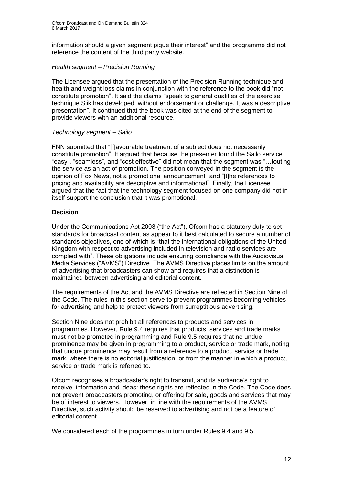information should a given segment pique their interest" and the programme did not reference the content of the third party website.

### *Health segment – Precision Running*

The Licensee argued that the presentation of the Precision Running technique and health and weight loss claims in conjunction with the reference to the book did "not constitute promotion". It said the claims "speak to general qualities of the exercise technique Siik has developed, without endorsement or challenge. It was a descriptive presentation". It continued that the book was cited at the end of the segment to provide viewers with an additional resource.

### *Technology segment – Sailo*

FNN submitted that "[f]avourable treatment of a subject does not necessarily constitute promotion". It argued that because the presenter found the Sailo service "easy", "seamless", and "cost effective" did not mean that the segment was "…touting the service as an act of promotion. The position conveyed in the segment is the opinion of Fox News, not a promotional announcement" and "[t]he references to pricing and availability are descriptive and informational". Finally, the Licensee argued that the fact that the technology segment focused on one company did not in itself support the conclusion that it was promotional.

# **Decision**

Under the Communications Act 2003 ("the Act"), Ofcom has a statutory duty to set standards for broadcast content as appear to it best calculated to secure a number of standards objectives, one of which is "that the international obligations of the United Kingdom with respect to advertising included in television and radio services are complied with". These obligations include ensuring compliance with the Audiovisual Media Services ("AVMS") Directive. The AVMS Directive places limits on the amount of advertising that broadcasters can show and requires that a distinction is maintained between advertising and editorial content.

The requirements of the Act and the AVMS Directive are reflected in Section Nine of the Code. The rules in this section serve to prevent programmes becoming vehicles for advertising and help to protect viewers from surreptitious advertising.

Section Nine does not prohibit all references to products and services in programmes. However, Rule 9.4 requires that products, services and trade marks must not be promoted in programming and Rule 9.5 requires that no undue prominence may be given in programming to a product, service or trade mark, noting that undue prominence may result from a reference to a product, service or trade mark, where there is no editorial justification, or from the manner in which a product, service or trade mark is referred to.

Ofcom recognises a broadcaster's right to transmit, and its audience's right to receive, information and ideas: these rights are reflected in the Code. The Code does not prevent broadcasters promoting, or offering for sale, goods and services that may be of interest to viewers. However, in line with the requirements of the AVMS Directive, such activity should be reserved to advertising and not be a feature of editorial content.

We considered each of the programmes in turn under Rules 9.4 and 9.5.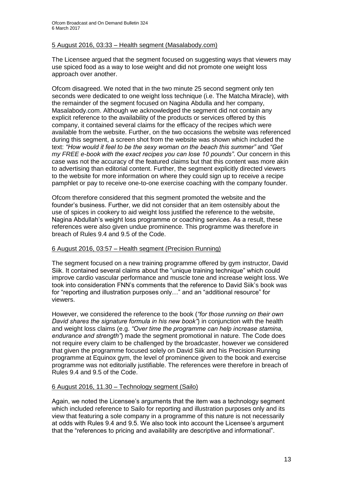#### 5 August 2016, 03:33 – Health segment (Masalabody.com)

The Licensee argued that the segment focused on suggesting ways that viewers may use spiced food as a way to lose weight and did not promote one weight loss approach over another.

Ofcom disagreed. We noted that in the two minute 25 second segment only ten seconds were dedicated to one weight loss technique (i.e. The Matcha Miracle), with the remainder of the segment focused on Nagina Abdulla and her company, Masalabody.com. Although we acknowledged the segment did not contain any explicit reference to the availability of the products or services offered by this company, it contained several claims for the efficacy of the recipes which were available from the website. Further, on the two occasions the website was referenced during this segment, a screen shot from the website was shown which included the text: *"How would it feel to be the sexy woman on the beach this summer"* and *"Get my FREE e-book with the exact recipes you can lose 10 pounds"*. Our concern in this case was not the accuracy of the featured claims but that this content was more akin to advertising than editorial content. Further, the segment explicitly directed viewers to the website for more information on where they could sign up to receive a recipe pamphlet or pay to receive one-to-one exercise coaching with the company founder.

Ofcom therefore considered that this segment promoted the website and the founder's business. Further, we did not consider that an item ostensibly about the use of spices in cookery to aid weight loss justified the reference to the website, Nagina Abdullah's weight loss programme or coaching services. As a result, these references were also given undue prominence. This programme was therefore in breach of Rules 9.4 and 9.5 of the Code.

### 6 August 2016, 03:57 – Health segment (Precision Running)

The segment focused on a new training programme offered by gym instructor, David Siik. It contained several claims about the "unique training technique" which could improve cardio vascular performance and muscle tone and increase weight loss. We took into consideration FNN's comments that the reference to David Siik's book was for "reporting and illustration purposes only…" and an "additional resource" for viewers.

However, we considered the reference to the book (*"for those running on their own David shares the signature formula in his new book"*) in conjunction with the health and weight loss claims (e.g. *"Over time the programme can help increase stamina, endurance and strength"*) made the segment promotional in nature. The Code does not require every claim to be challenged by the broadcaster, however we considered that given the programme focused solely on David Siik and his Precision Running programme at Equinox gym, the level of prominence given to the book and exercise programme was not editorially justifiable. The references were therefore in breach of Rules 9.4 and 9.5 of the Code.

### 6 August 2016, 11.30 – Technology segment (Sailo)

Again, we noted the Licensee's arguments that the item was a technology segment which included reference to Sailo for reporting and illustration purposes only and its view that featuring a sole company in a programme of this nature is not necessarily at odds with Rules 9.4 and 9.5. We also took into account the Licensee's argument that the "references to pricing and availability are descriptive and informational".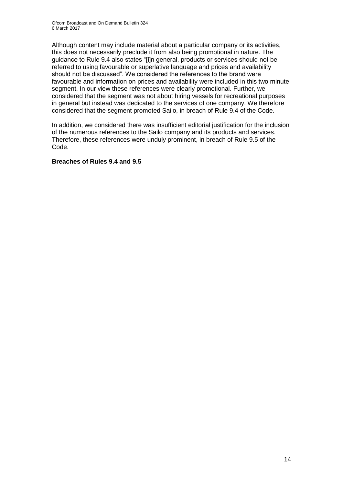Although content may include material about a particular company or its activities, this does not necessarily preclude it from also being promotional in nature. The guidance to Rule 9.4 also states "[i]n general, products or services should not be referred to using favourable or superlative language and prices and availability should not be discussed". We considered the references to the brand were favourable and information on prices and availability were included in this two minute segment. In our view these references were clearly promotional. Further, we considered that the segment was not about hiring vessels for recreational purposes in general but instead was dedicated to the services of one company. We therefore considered that the segment promoted Sailo, in breach of Rule 9.4 of the Code.

In addition, we considered there was insufficient editorial justification for the inclusion of the numerous references to the Sailo company and its products and services. Therefore, these references were unduly prominent, in breach of Rule 9.5 of the Code.

### **Breaches of Rules 9.4 and 9.5**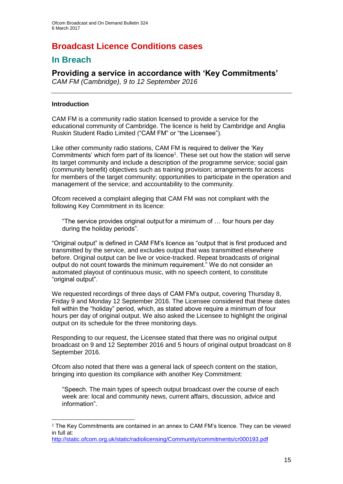# **Broadcast Licence Conditions cases**

# **In Breach**

# **Providing a service in accordance with 'Key Commitments'**

*CAM FM (Cambridge), 9 to 12 September 2016*

# **Introduction**

1

CAM FM is a community radio station licensed to provide a service for the educational community of Cambridge. The licence is held by Cambridge and Anglia Ruskin Student Radio Limited ("CAM FM" or "the Licensee").

Like other community radio stations, CAM FM is required to deliver the 'Key Commitments' which form part of its licence<sup>1</sup>. These set out how the station will serve its target community and include a description of the programme service; social gain (community benefit) objectives such as training provision; arrangements for access for members of the target community; opportunities to participate in the operation and management of the service; and accountability to the community.

Ofcom received a complaint alleging that CAM FM was not compliant with the following Key Commitment in its licence:

"The service provides original output for a minimum of … four hours per day during the holiday periods".

"Original output" is defined in CAM FM's licence as "output that is first produced and transmitted by the service, and excludes output that was transmitted elsewhere before. Original output can be live or voice-tracked. Repeat broadcasts of original output do not count towards the minimum requirement." We do not consider an automated playout of continuous music, with no speech content, to constitute "original output".

We requested recordings of three days of CAM FM's output, covering Thursday 8, Friday 9 and Monday 12 September 2016. The Licensee considered that these dates fell within the "holiday" period, which, as stated above require a minimum of four hours per day of original output. We also asked the Licensee to highlight the original output on its schedule for the three monitoring days.

Responding to our request, the Licensee stated that there was no original output broadcast on 9 and 12 September 2016 and 5 hours of original output broadcast on 8 September 2016.

Ofcom also noted that there was a general lack of speech content on the station, bringing into question its compliance with another Key Commitment:

"Speech. The main types of speech output broadcast over the course of each week are: local and community news, current affairs, discussion, advice and information".

<sup>1</sup> The Key Commitments are contained in an annex to CAM FM's licence. They can be viewed in full at:

<http://static.ofcom.org.uk/static/radiolicensing/Community/commitments/cr000193.pdf>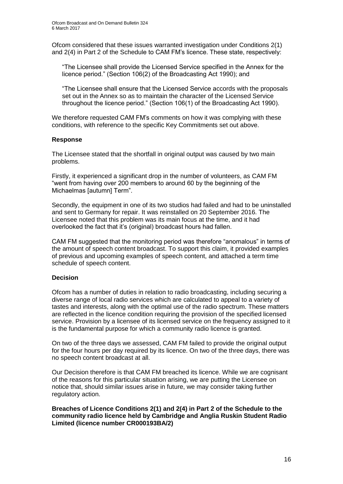Ofcom considered that these issues warranted investigation under Conditions 2(1) and 2(4) in Part 2 of the Schedule to CAM FM's licence. These state, respectively:

"The Licensee shall provide the Licensed Service specified in the Annex for the licence period." (Section 106(2) of the Broadcasting Act 1990); and

"The Licensee shall ensure that the Licensed Service accords with the proposals set out in the Annex so as to maintain the character of the Licensed Service throughout the licence period." (Section 106(1) of the Broadcasting Act 1990).

We therefore requested CAM FM's comments on how it was complying with these conditions, with reference to the specific Key Commitments set out above.

### **Response**

The Licensee stated that the shortfall in original output was caused by two main problems.

Firstly, it experienced a significant drop in the number of volunteers, as CAM FM "went from having over 200 members to around 60 by the beginning of the Michaelmas [autumn] Term".

Secondly, the equipment in one of its two studios had failed and had to be uninstalled and sent to Germany for repair. It was reinstalled on 20 September 2016. The Licensee noted that this problem was its main focus at the time, and it had overlooked the fact that it's (original) broadcast hours had fallen.

CAM FM suggested that the monitoring period was therefore "anomalous" in terms of the amount of speech content broadcast. To support this claim, it provided examples of previous and upcoming examples of speech content, and attached a term time schedule of speech content.

# **Decision**

Ofcom has a number of duties in relation to radio broadcasting, including securing a diverse range of local radio services which are calculated to appeal to a variety of tastes and interests, along with the optimal use of the radio spectrum. These matters are reflected in the licence condition requiring the provision of the specified licensed service. Provision by a licensee of its licensed service on the frequency assigned to it is the fundamental purpose for which a community radio licence is granted.

On two of the three days we assessed, CAM FM failed to provide the original output for the four hours per day required by its licence. On two of the three days, there was no speech content broadcast at all.

Our Decision therefore is that CAM FM breached its licence. While we are cognisant of the reasons for this particular situation arising, we are putting the Licensee on notice that, should similar issues arise in future, we may consider taking further regulatory action.

**Breaches of Licence Conditions 2(1) and 2(4) in Part 2 of the Schedule to the community radio licence held by Cambridge and Anglia Ruskin Student Radio Limited (licence number CR000193BA/2)**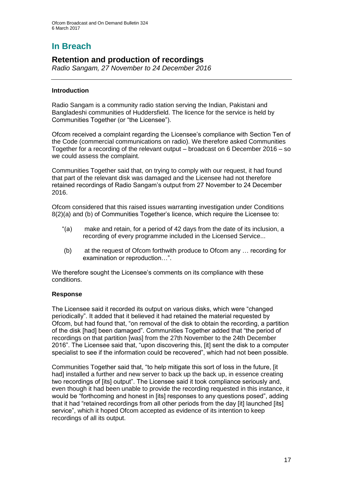# **In Breach**

# **Retention and production of recordings**

*Radio Sangam, 27 November to 24 December 2016*

### **Introduction**

Radio Sangam is a community radio station serving the Indian, Pakistani and Bangladeshi communities of Huddersfield. The licence for the service is held by Communities Together (or "the Licensee").

Ofcom received a complaint regarding the Licensee's compliance with Section Ten of the Code (commercial communications on radio). We therefore asked Communities Together for a recording of the relevant output – broadcast on 6 December 2016 – so we could assess the complaint.

Communities Together said that, on trying to comply with our request, it had found that part of the relevant disk was damaged and the Licensee had not therefore retained recordings of Radio Sangam's output from 27 November to 24 December 2016.

Ofcom considered that this raised issues warranting investigation under Conditions 8(2)(a) and (b) of Communities Together's licence, which require the Licensee to:

- "(a) make and retain, for a period of 42 days from the date of its inclusion, a recording of every programme included in the Licensed Service...
- (b) at the request of Ofcom forthwith produce to Ofcom any … recording for examination or reproduction…".

We therefore sought the Licensee's comments on its compliance with these conditions.

### **Response**

The Licensee said it recorded its output on various disks, which were "changed periodically". It added that it believed it had retained the material requested by Ofcom, but had found that, "on removal of the disk to obtain the recording, a partition of the disk [had] been damaged". Communities Together added that "the period of recordings on that partition [was] from the 27th November to the 24th December 2016". The Licensee said that, "upon discovering this, [it] sent the disk to a computer specialist to see if the information could be recovered", which had not been possible.

Communities Together said that, "to help mitigate this sort of loss in the future, [it had] installed a further and new server to back up the back up, in essence creating two recordings of [its] output". The Licensee said it took compliance seriously and, even though it had been unable to provide the recording requested in this instance, it would be "forthcoming and honest in [its] responses to any questions posed", adding that it had "retained recordings from all other periods from the day [it] launched [its] service", which it hoped Ofcom accepted as evidence of its intention to keep recordings of all its output.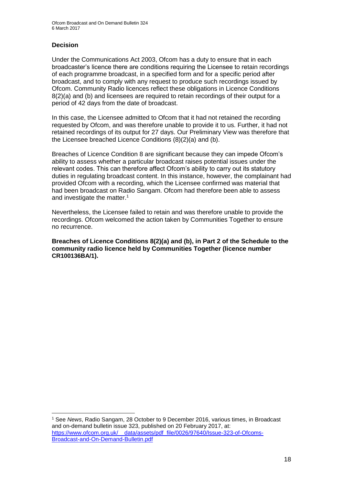# **Decision**

1

Under the Communications Act 2003, Ofcom has a duty to ensure that in each broadcaster's licence there are conditions requiring the Licensee to retain recordings of each programme broadcast, in a specified form and for a specific period after broadcast, and to comply with any request to produce such recordings issued by Ofcom. Community Radio licences reflect these obligations in Licence Conditions 8(2)(a) and (b) and licensees are required to retain recordings of their output for a period of 42 days from the date of broadcast.

In this case, the Licensee admitted to Ofcom that it had not retained the recording requested by Ofcom, and was therefore unable to provide it to us. Further, it had not retained recordings of its output for 27 days. Our Preliminary View was therefore that the Licensee breached Licence Conditions (8)(2)(a) and (b).

Breaches of Licence Condition 8 are significant because they can impede Ofcom's ability to assess whether a particular broadcast raises potential issues under the relevant codes. This can therefore affect Ofcom's ability to carry out its statutory duties in regulating broadcast content. In this instance, however, the complainant had provided Ofcom with a recording, which the Licensee confirmed was material that had been broadcast on Radio Sangam. Ofcom had therefore been able to assess and investigate the matter.<sup>1</sup>

Nevertheless, the Licensee failed to retain and was therefore unable to provide the recordings. Ofcom welcomed the action taken by Communities Together to ensure no recurrence.

**Breaches of Licence Conditions 8(2)(a) and (b), in Part 2 of the Schedule to the community radio licence held by Communities Together (licence number CR100136BA/1).**

<sup>1</sup> See *News*, Radio Sangam, 28 October to 9 December 2016, various times, in Broadcast and on-demand bulletin issue 323, published on 20 February 2017, at: https://www.ofcom.org.uk/ data/assets/pdf\_file/0026/97640/Issue-323-of-Ofcoms-[Broadcast-and-On-Demand-Bulletin.pdf](https://www.ofcom.org.uk/__data/assets/pdf_file/0026/97640/Issue-323-of-Ofcoms-Broadcast-and-On-Demand-Bulletin.pdf)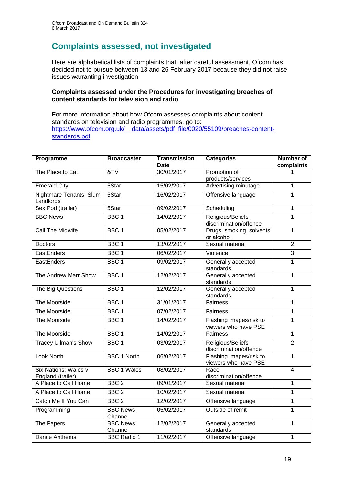# **Complaints assessed, not investigated**

Here are alphabetical lists of complaints that, after careful assessment, Ofcom has decided not to pursue between 13 and 26 February 2017 because they did not raise issues warranting investigation.

### **Complaints assessed under the Procedures for investigating breaches of content standards for television and radio**

For more information about how Ofcom assesses complaints about content standards on television and radio programmes, go to: [https://www.ofcom.org.uk/\\_\\_data/assets/pdf\\_file/0020/55109/breaches-content](https://www.ofcom.org.uk/__data/assets/pdf_file/0020/55109/breaches-content-standards.pdf)[standards.pdf](https://www.ofcom.org.uk/__data/assets/pdf_file/0020/55109/breaches-content-standards.pdf)

| Programme                                 | <b>Broadcaster</b>         | <b>Transmission</b><br>Date | <b>Categories</b>                               | <b>Number of</b><br>complaints |
|-------------------------------------------|----------------------------|-----------------------------|-------------------------------------------------|--------------------------------|
| The Place to Eat                          | $\overline{87V}$           | 30/01/2017                  | Promotion of                                    |                                |
|                                           |                            |                             | products/services                               |                                |
| <b>Emerald City</b>                       | 5Star                      | 15/02/2017                  | Advertising minutage                            | 1                              |
| Nightmare Tenants, Slum<br>Landlords      | 5Star                      | 16/02/2017                  | Offensive language                              | 1                              |
| Sex Pod (trailer)                         | 5Star                      | 09/02/2017                  | Scheduling                                      | 1                              |
| <b>BBC News</b>                           | BBC <sub>1</sub>           | 14/02/2017                  | Religious/Beliefs<br>discrimination/offence     | 1                              |
| <b>Call The Midwife</b>                   | BBC <sub>1</sub>           | 05/02/2017                  | Drugs, smoking, solvents<br>or alcohol          | 1                              |
| <b>Doctors</b>                            | BBC <sub>1</sub>           | 13/02/2017                  | Sexual material                                 | $\overline{2}$                 |
| EastEnders                                | BBC <sub>1</sub>           | 06/02/2017                  | Violence                                        | $\overline{3}$                 |
| EastEnders                                | BBC <sub>1</sub>           | 09/02/2017                  | Generally accepted<br>standards                 | 1                              |
| The Andrew Marr Show                      | BBC <sub>1</sub>           | 12/02/2017                  | Generally accepted<br>standards                 | $\mathbf{1}$                   |
| The Big Questions                         | BBC <sub>1</sub>           | 12/02/2017                  | Generally accepted<br>standards                 | 1                              |
| The Moorside                              | BBC <sub>1</sub>           | 31/01/2017                  | Fairness                                        | 1                              |
| The Moorside                              | BBC <sub>1</sub>           | 07/02/2017                  | Fairness                                        | 1                              |
| The Moorside                              | BBC <sub>1</sub>           | 14/02/2017                  | Flashing images/risk to<br>viewers who have PSE | $\mathbf{1}$                   |
| The Moorside                              | BBC <sub>1</sub>           | 14/02/2017                  | <b>Fairness</b>                                 | 1                              |
| <b>Tracey Ullman's Show</b>               | BBC <sub>1</sub>           | 03/02/2017                  | Religious/Beliefs<br>discrimination/offence     | $\overline{2}$                 |
| <b>Look North</b>                         | <b>BBC 1 North</b>         | 06/02/2017                  | Flashing images/risk to<br>viewers who have PSE | 1                              |
| Six Nations: Wales v<br>England (trailer) | <b>BBC 1 Wales</b>         | 08/02/2017                  | Race<br>discrimination/offence                  | 4                              |
| A Place to Call Home                      | BBC <sub>2</sub>           | 09/01/2017                  | Sexual material                                 | $\mathbf{1}$                   |
| A Place to Call Home                      | BBC <sub>2</sub>           | 10/02/2017                  | Sexual material                                 | 1                              |
| Catch Me If You Can                       | BBC <sub>2</sub>           | 12/02/2017                  | Offensive language                              | 1                              |
| Programming                               | <b>BBC News</b><br>Channel | 05/02/2017                  | Outside of remit                                | 1                              |
| The Papers                                | <b>BBC News</b><br>Channel | 12/02/2017                  | Generally accepted<br>standards                 | 1                              |
| Dance Anthems                             | <b>BBC Radio 1</b>         | 11/02/2017                  | Offensive language                              | 1                              |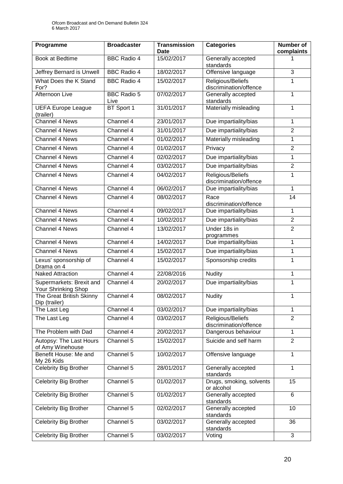| Programme                                              | <b>Broadcaster</b>         | <b>Transmission</b><br><b>Date</b> | <b>Categories</b>                           | <b>Number of</b><br>complaints |
|--------------------------------------------------------|----------------------------|------------------------------------|---------------------------------------------|--------------------------------|
| Book at Bedtime                                        | <b>BBC Radio 4</b>         | 15/02/2017                         | Generally accepted<br>standards             |                                |
| Jeffrey Bernard is Unwell                              | <b>BBC Radio 4</b>         | 18/02/2017                         | Offensive language                          | 3                              |
| What Does the K Stand<br>For?                          | <b>BBC Radio 4</b>         | 15/02/2017                         | Religious/Beliefs<br>discrimination/offence | 1                              |
| Afternoon Live                                         | <b>BBC Radio 5</b><br>Live | 07/02/2017                         | Generally accepted<br>standards             | 1                              |
| <b>UEFA Europe League</b><br>(trailer)                 | BT Sport 1                 | 31/01/2017                         | Materially misleading                       | 1                              |
| Channel 4 News                                         | Channel 4                  | 23/01/2017                         | Due impartiality/bias                       | 1                              |
| Channel 4 News                                         | Channel 4                  | 31/01/2017                         | Due impartiality/bias                       | $\overline{2}$                 |
| Channel 4 News                                         | Channel 4                  | 01/02/2017                         | Materially misleading                       | 1                              |
| Channel 4 News                                         | Channel 4                  | 01/02/2017                         | Privacy                                     | $\overline{2}$                 |
| Channel 4 News                                         | Channel 4                  | 02/02/2017                         | Due impartiality/bias                       | 1                              |
| Channel 4 News                                         | Channel 4                  | 03/02/2017                         | Due impartiality/bias                       | $\overline{2}$                 |
| Channel 4 News                                         | Channel 4                  | 04/02/2017                         | Religious/Beliefs<br>discrimination/offence | 1                              |
| <b>Channel 4 News</b>                                  | Channel 4                  | 06/02/2017                         | Due impartiality/bias                       | 1                              |
| <b>Channel 4 News</b>                                  | Channel 4                  | 08/02/2017                         | Race<br>discrimination/offence              | 14                             |
| Channel 4 News                                         | Channel 4                  | 09/02/2017                         | Due impartiality/bias                       | 1                              |
| Channel 4 News                                         | Channel 4                  | 10/02/2017                         | Due impartiality/bias                       | $\overline{2}$                 |
| Channel 4 News                                         | Channel 4                  | 13/02/2017                         | Under 18s in<br>programmes                  | $\overline{2}$                 |
| <b>Channel 4 News</b>                                  | Channel 4                  | 14/02/2017                         | Due impartiality/bias                       | 1                              |
| Channel 4 News                                         | Channel 4                  | 15/02/2017                         | Due impartiality/bias<br>1                  |                                |
| Lexus' sponsorship of<br>Drama on 4                    | Channel 4                  | 15/02/2017                         | Sponsorship credits                         | 1                              |
| <b>Naked Attraction</b>                                | Channel 4                  | 22/08/2016                         | Nudity                                      | 1                              |
| Supermarkets: Brexit and<br><b>Your Shrinking Shop</b> | Channel 4                  | 20/02/2017                         | Due impartiality/bias                       | 1                              |
| The Great British Skinny<br>Dip (trailer)              | Channel 4                  | 08/02/2017                         | <b>Nudity</b>                               |                                |
| The Last Leg                                           | Channel 4                  | 03/02/2017                         | Due impartiality/bias                       | 1                              |
| The Last Leg                                           | Channel 4                  | 03/02/2017                         | Religious/Beliefs<br>discrimination/offence | $\overline{2}$                 |
| The Problem with Dad                                   | Channel 4                  | 20/02/2017                         | Dangerous behaviour                         | 1                              |
| Autopsy: The Last Hours<br>of Amy Winehouse            | Channel 5                  | 15/02/2017                         | Suicide and self harm                       | $\overline{2}$                 |
| Benefit House: Me and<br>My 26 Kids                    | Channel 5                  | 10/02/2017                         | Offensive language                          | 1                              |
| Celebrity Big Brother                                  | Channel 5                  | 28/01/2017                         | Generally accepted<br>standards             | 1                              |
| <b>Celebrity Big Brother</b>                           | Channel 5                  | 01/02/2017                         | Drugs, smoking, solvents<br>or alcohol      | 15                             |
| Celebrity Big Brother                                  | Channel 5                  | 01/02/2017                         | Generally accepted<br>standards             | 6                              |
| Celebrity Big Brother                                  | Channel 5                  | 02/02/2017                         | Generally accepted<br>standards             | 10                             |
| Celebrity Big Brother                                  | Channel 5                  | 03/02/2017                         | Generally accepted<br>standards             | 36                             |
| <b>Celebrity Big Brother</b>                           | Channel 5                  | 03/02/2017                         | Voting                                      | 3                              |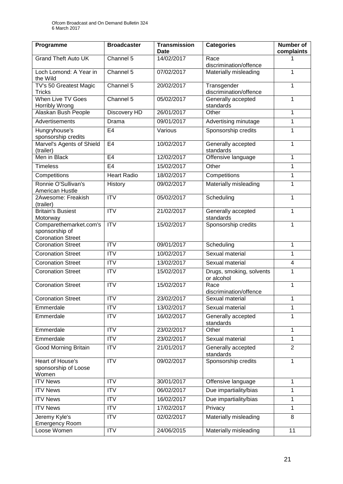| Programme                                                            | <b>Broadcaster</b>  | <b>Transmission</b><br><b>Date</b> | <b>Categories</b>                      | <b>Number of</b><br>complaints |
|----------------------------------------------------------------------|---------------------|------------------------------------|----------------------------------------|--------------------------------|
| <b>Grand Theft Auto UK</b>                                           | Channel 5           | 14/02/2017                         | Race<br>discrimination/offence         |                                |
| Loch Lomond: A Year in<br>the Wild                                   | Channel 5           | 07/02/2017                         | Materially misleading                  | 1                              |
| TV's 50 Greatest Magic<br><b>Tricks</b>                              | Channel 5           | 20/02/2017                         | Transgender<br>discrimination/offence  | 1                              |
| When Live TV Goes<br>Horribly Wrong                                  | Channel 5           | 05/02/2017                         | Generally accepted<br>standards        | 1                              |
| Alaskan Bush People                                                  | <b>Discovery HD</b> | 26/01/2017                         | Other                                  | 1                              |
| Advertisements                                                       | Drama               | 09/01/2017                         | Advertising minutage                   | 1                              |
| Hungryhouse's<br>sponsorship credits                                 | E <sub>4</sub>      | Various                            | Sponsorship credits                    | 1                              |
| Marvel's Agents of Shield<br>(trailer)                               | E <sub>4</sub>      | 10/02/2017                         | Generally accepted<br>standards        | 1                              |
| Men in Black                                                         | E <sub>4</sub>      | 12/02/2017                         | Offensive language                     | 1                              |
| <b>Timeless</b>                                                      | E <sub>4</sub>      | 15/02/2017                         | Other                                  | 1                              |
| Competitions                                                         | <b>Heart Radio</b>  | 18/02/2017                         | Competitions                           | 1                              |
| Ronnie O'Sullivan's<br>American Hustle                               | History             | 09/02/2017                         | Materially misleading                  | 1                              |
| 2Awesome: Freakish<br>(trailer)                                      | <b>ITV</b>          | 05/02/2017                         | Scheduling                             | 1                              |
| <b>Britain's Busiest</b><br>Motorway                                 | $\overline{IV}$     | 21/02/2017                         | Generally accepted<br>standards        | 1                              |
| Comparethemarket.com's<br>sponsorship of<br><b>Coronation Street</b> | <b>ITV</b>          | 15/02/2017                         | Sponsorship credits                    | 1                              |
| <b>Coronation Street</b>                                             | <b>ITV</b>          | 09/01/2017                         | Scheduling                             | 1                              |
| <b>Coronation Street</b>                                             | <b>ITV</b>          | 10/02/2017                         | Sexual material                        | 1                              |
| <b>Coronation Street</b>                                             | <b>ITV</b>          | 13/02/2017                         | Sexual material                        | $\overline{\mathbf{4}}$        |
| <b>Coronation Street</b>                                             | <b>ITV</b>          | 15/02/2017                         | Drugs, smoking, solvents<br>or alcohol | 1                              |
| <b>Coronation Street</b>                                             | <b>ITV</b>          | 15/02/2017                         | Race<br>discrimination/offence         | 1                              |
| Coronation Street                                                    | <b>ITV</b>          | 23/02/2017                         | Sexual material                        | $\mathbf{1}$                   |
| Emmerdale                                                            | <b>ITV</b>          | 13/02/2017                         | Sexual material                        | 1                              |
| Emmerdale                                                            | <b>ITV</b>          | 16/02/2017                         | Generally accepted<br>standards        | 1                              |
| Emmerdale                                                            | $\overline{IV}$     | 23/02/2017                         | Other                                  | 1                              |
| Emmerdale                                                            | ITV                 | 23/02/2017                         | Sexual material                        | 1                              |
| <b>Good Morning Britain</b>                                          | <b>ITV</b>          | 21/01/2017                         | Generally accepted<br>standards        | $\overline{2}$                 |
| <b>Heart of House's</b><br>sponsorship of Loose<br>Women             | <b>ITV</b>          | 09/02/2017                         | Sponsorship credits                    | 1                              |
| <b>ITV News</b>                                                      | <b>ITV</b>          | 30/01/2017                         | Offensive language                     | 1                              |
| <b>ITV News</b>                                                      | <b>ITV</b>          | 06/02/2017                         | Due impartiality/bias                  | 1                              |
| <b>ITV News</b>                                                      | <b>ITV</b>          | 16/02/2017                         | Due impartiality/bias                  | 1                              |
| <b>ITV News</b>                                                      | <b>ITV</b>          | 17/02/2017                         | Privacy                                | 1                              |
| Jeremy Kyle's<br><b>Emergency Room</b>                               | <b>ITV</b>          | 02/02/2017                         | Materially misleading                  | 8                              |
| Loose Women                                                          | <b>ITV</b>          | 24/06/2015                         | Materially misleading                  | 11                             |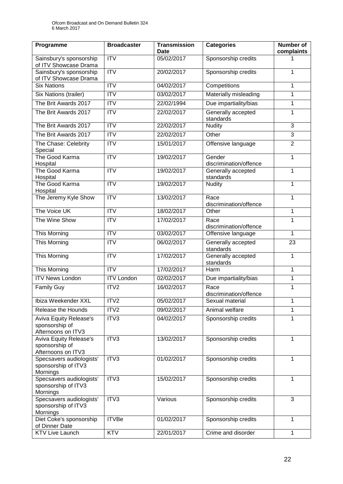| Programme                                                             | <b>Broadcaster</b>      | <b>Transmission</b><br><b>Date</b> | <b>Categories</b>                | <b>Number of</b><br>complaints |
|-----------------------------------------------------------------------|-------------------------|------------------------------------|----------------------------------|--------------------------------|
| Sainsbury's sponsorship<br>of ITV Showcase Drama                      | $\overline{ITV}$        | 05/02/2017                         | Sponsorship credits              |                                |
| Sainsbury's sponsorship<br>of ITV Showcase Drama                      | $\overline{ITV}$        | 20/02/2017                         | Sponsorship credits              | 1                              |
| <b>Six Nations</b>                                                    | <b>ITV</b>              | 04/02/2017                         | Competitions                     | 1                              |
| Six Nations (trailer)                                                 | <b>ITV</b>              | 03/02/2017                         | Materially misleading            | 1                              |
| The Brit Awards 2017                                                  | <b>ITV</b>              | 22/02/1994                         | Due impartiality/bias            | 1                              |
| The Brit Awards 2017                                                  | $\overline{ITV}$        | 22/02/2017                         | Generally accepted<br>standards  | 1                              |
| The Brit Awards 2017                                                  | $\overline{ITV}$        | 22/02/2017                         | Nudity                           | $\overline{3}$                 |
| The Brit Awards 2017                                                  | <b>ITV</b>              | 22/02/2017                         | Other                            | 3                              |
| The Chase: Celebrity<br>Special                                       | <b>ITV</b>              | 15/01/2017                         | Offensive language               | $\overline{2}$                 |
| The Good Karma<br>Hospital                                            | $\overline{ITV}$        | 19/02/2017                         | Gender<br>discrimination/offence | 1                              |
| The Good Karma                                                        | $\overline{\text{ITV}}$ | 19/02/2017                         | Generally accepted               | 1                              |
| Hospital<br>The Good Karma                                            | $\overline{ITV}$        | 19/02/2017                         | standards<br>Nudity              | 1                              |
| Hospital                                                              |                         |                                    |                                  |                                |
| The Jeremy Kyle Show                                                  | <b>ITV</b>              | 13/02/2017                         | Race<br>discrimination/offence   | 1                              |
| The Voice UK                                                          | $\overline{ITV}$        | 18/02/2017                         | Other                            | 1                              |
| The Wine Show                                                         | <b>ITV</b>              | 17/02/2017                         | Race<br>discrimination/offence   | 1                              |
| This Morning                                                          | $\overline{ITV}$        | 03/02/2017                         | Offensive language               | 1                              |
| This Morning                                                          | <b>ITV</b>              | 06/02/2017                         | Generally accepted<br>standards  | 23                             |
| This Morning                                                          | <b>ITV</b>              | 17/02/2017                         | Generally accepted<br>standards  | 1                              |
| This Morning                                                          | <b>ITV</b>              | 17/02/2017                         | 1<br>Harm                        |                                |
| <b>ITV News London</b>                                                | <b>ITV</b> London       | 02/02/2017                         | Due impartiality/bias            | 1                              |
| <b>Family Guy</b>                                                     | ITV2                    | 16/02/2017                         | Race<br>discrimination/offence   | 1                              |
| Ibiza Weekender XXL                                                   | ITV <sub>2</sub>        | 05/02/2017                         | Sexual material                  | 1                              |
| Release the Hounds                                                    | ITV2                    | 09/02/2017                         | Animal welfare                   | 1                              |
| Aviva Equity Release's<br>sponsorship of<br>Afternoons on ITV3        | ITV3                    | 04/02/2017                         | Sponsorship credits              | 1                              |
| <b>Aviva Equity Release's</b><br>sponsorship of<br>Afternoons on ITV3 | ITV3                    | 13/02/2017                         | Sponsorship credits              | 1                              |
| Specsavers audiologists'<br>sponsorship of ITV3<br>Mornings           | ITV3                    | 01/02/2017                         | Sponsorship credits              | 1                              |
| Specsavers audiologists'<br>sponsorship of ITV3<br>Mornings           | ITV3                    | 15/02/2017                         | Sponsorship credits              | 1                              |
| Specsavers audiologists'<br>sponsorship of ITV3<br>Mornings           | ITV3                    | Various                            | Sponsorship credits              | 3                              |
| Diet Coke's sponsorship<br>of Dinner Date                             | <b>ITVBe</b>            | 01/02/2017                         | Sponsorship credits              | 1                              |
| <b>KTV Live Launch</b>                                                | <b>KTV</b>              | 22/01/2017                         | Crime and disorder               | 1                              |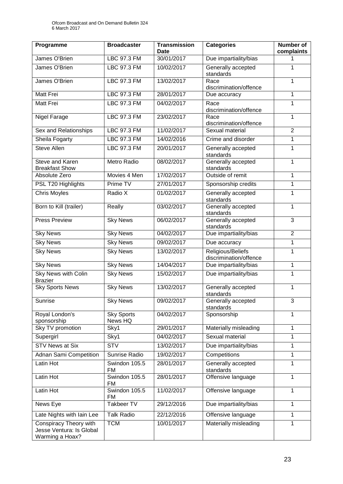| Programme                                                             | <b>Broadcaster</b>           | <b>Transmission</b><br>Date | <b>Categories</b>                           | <b>Number of</b><br>complaints |
|-----------------------------------------------------------------------|------------------------------|-----------------------------|---------------------------------------------|--------------------------------|
| James O'Brien                                                         | <b>LBC 97.3 FM</b>           | 30/01/2017                  | Due impartiality/bias                       |                                |
| James O'Brien                                                         | <b>LBC 97.3 FM</b>           | 10/02/2017                  | Generally accepted<br>standards             | 1                              |
| James O'Brien                                                         | <b>LBC 97.3 FM</b>           | 13/02/2017                  | Race<br>discrimination/offence              | 1                              |
| Matt Frei                                                             | LBC 97.3 FM                  | 28/01/2017                  | Due accuracy                                | 1                              |
| Matt Frei                                                             | LBC 97.3 FM                  | 04/02/2017                  | Race<br>discrimination/offence              | 1                              |
| Nigel Farage                                                          | LBC 97.3 FM                  | 23/02/2017                  | Race<br>discrimination/offence              | 1                              |
| Sex and Relationships                                                 | <b>LBC 97.3 FM</b>           | 11/02/2017                  | Sexual material                             | $\overline{2}$                 |
| Sheila Fogarty                                                        | LBC 97.3 FM                  | 14/02/2016                  | Crime and disorder                          | 1                              |
| <b>Steve Allen</b>                                                    | LBC 97.3 FM                  | 20/01/2017                  | Generally accepted<br>standards             | 1                              |
| <b>Steve and Karen</b><br><b>Breakfast Show</b>                       | <b>Metro Radio</b>           | 08/02/2017                  | Generally accepted<br>standards             | 1                              |
| Absolute Zero                                                         | Movies 4 Men                 | 17/02/2017                  | Outside of remit                            | 1                              |
| PSL T20 Highlights                                                    | Prime TV                     | 27/01/2017                  | Sponsorship credits                         | 1                              |
| <b>Chris Moyles</b>                                                   | Radio X                      | 01/02/2017                  | Generally accepted<br>standards             | 1                              |
| Born to Kill (trailer)                                                | Really                       | 03/02/2017                  | Generally accepted<br>standards             | $\mathbf{1}$                   |
| <b>Press Preview</b>                                                  | <b>Sky News</b>              | 06/02/2017                  | Generally accepted<br>standards             | 3                              |
| <b>Sky News</b>                                                       | <b>Sky News</b>              | 04/02/2017                  | Due impartiality/bias                       | $\overline{2}$                 |
| <b>Sky News</b>                                                       | <b>Sky News</b>              | 09/02/2017                  | Due accuracy                                | 1                              |
| <b>Sky News</b>                                                       | <b>Sky News</b>              | 13/02/2017                  | Religious/Beliefs<br>discrimination/offence | 1                              |
| <b>Sky News</b>                                                       | <b>Sky News</b>              | 14/04/2017                  | Due impartiality/bias                       | $\mathbf{1}$                   |
| Sky News with Colin<br><b>Brazier</b>                                 | <b>Sky News</b>              | 15/02/2017                  | Due impartiality/bias                       | 1                              |
| <b>Sky Sports News</b>                                                | <b>Sky News</b>              | 13/02/2017                  | Generally accepted<br>standards             | $\mathbf{1}$                   |
| Sunrise                                                               | <b>Sky News</b>              | 09/02/2017                  | Generally accepted<br>standards             | 3                              |
| Royal London's<br>sponsorship                                         | <b>Sky Sports</b><br>News HQ | 04/02/2017                  | Sponsorship                                 | $\mathbf{1}$                   |
| Sky TV promotion                                                      | Sky1                         | 29/01/2017                  | Materially misleading                       | 1                              |
| Supergirl                                                             | Sky1                         | 04/02/2017                  | Sexual material                             | 1                              |
| <b>STV News at Six</b>                                                | $\overline{\text{STV}}$      | 13/02/2017                  | Due impartiality/bias                       | 1                              |
| Adnan Sami Competition                                                | Sunrise Radio                | 19/02/2017                  | Competitions                                | 1                              |
| Latin Hot                                                             | Swindon 105.5<br><b>FM</b>   | 28/01/2017                  | Generally accepted<br>standards             | $\mathbf{1}$                   |
| Latin Hot                                                             | Swindon 105.5<br><b>FM</b>   | 28/01/2017                  | Offensive language                          | $\mathbf{1}$                   |
| Latin Hot                                                             | Swindon 105.5<br><b>FM</b>   | 11/02/2017                  | Offensive language                          | 1                              |
| News Eye                                                              | Takbeer TV                   | 29/12/2016                  | Due impartiality/bias                       | $\mathbf{1}$                   |
| Late Nights with Iain Lee                                             | <b>Talk Radio</b>            | 22/12/2016                  | Offensive language                          | 1                              |
| Conspiracy Theory with<br>Jesse Ventura: Is Global<br>Warming a Hoax? | <b>TCM</b>                   | 10/01/2017                  | Materially misleading                       | 1                              |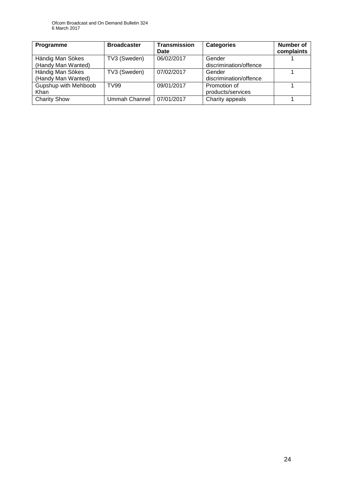| Programme            | <b>Broadcaster</b> | <b>Transmission</b><br>Date | <b>Categories</b>      | <b>Number of</b><br>complaints |
|----------------------|--------------------|-----------------------------|------------------------|--------------------------------|
| Händig Man Sökes     | TV3 (Sweden)       | 06/02/2017                  | Gender                 |                                |
| (Handy Man Wanted)   |                    |                             | discrimination/offence |                                |
| Händig Man Sökes     | TV3 (Sweden)       | 07/02/2017                  | Gender                 |                                |
| (Handy Man Wanted)   |                    |                             | discrimination/offence |                                |
| Gupshup with Mehboob | <b>TV99</b>        | 09/01/2017                  | Promotion of           |                                |
| Khan                 |                    |                             | products/services      |                                |
| <b>Charity Show</b>  | Ummah Channel      | 07/01/2017                  | Charity appeals        |                                |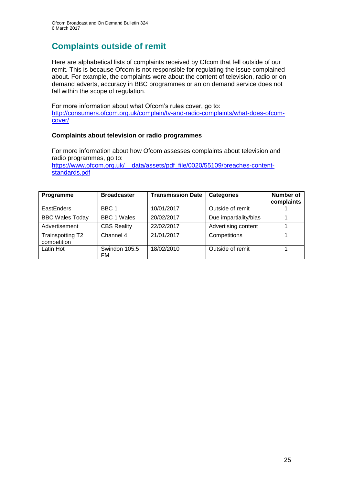# **Complaints outside of remit**

Here are alphabetical lists of complaints received by Ofcom that fell outside of our remit. This is because Ofcom is not responsible for regulating the issue complained about. For example, the complaints were about the content of television, radio or on demand adverts, accuracy in BBC programmes or an on demand service does not fall within the scope of regulation.

For more information about what Ofcom's rules cover, go to: [http://consumers.ofcom.org.uk/complain/tv-and-radio-complaints/what-does-ofcom](http://consumers.ofcom.org.uk/complain/tv-and-radio-complaints/what-does-ofcom-cover/)[cover/](http://consumers.ofcom.org.uk/complain/tv-and-radio-complaints/what-does-ofcom-cover/)

### **Complaints about television or radio programmes**

For more information about how Ofcom assesses complaints about television and radio programmes, go to:

[https://www.ofcom.org.uk/\\_\\_data/assets/pdf\\_file/0020/55109/breaches-content](https://www.ofcom.org.uk/__data/assets/pdf_file/0020/55109/breaches-content-standards.pdf)[standards.pdf](https://www.ofcom.org.uk/__data/assets/pdf_file/0020/55109/breaches-content-standards.pdf)

| Programme                       | <b>Broadcaster</b>  | <b>Transmission Date</b> | <b>Categories</b>     | <b>Number of</b><br>complaints |
|---------------------------------|---------------------|--------------------------|-----------------------|--------------------------------|
| EastEnders                      | BBC <sub>1</sub>    | 10/01/2017               | Outside of remit      |                                |
| <b>BBC Wales Today</b>          | <b>BBC 1 Wales</b>  | 20/02/2017               | Due impartiality/bias |                                |
| Advertisement                   | <b>CBS Reality</b>  | 22/02/2017               | Advertising content   |                                |
| Trainspotting T2<br>competition | Channel 4           | 21/01/2017               | Competitions          |                                |
| Latin Hot                       | Swindon 105.5<br>FM | 18/02/2010               | Outside of remit      |                                |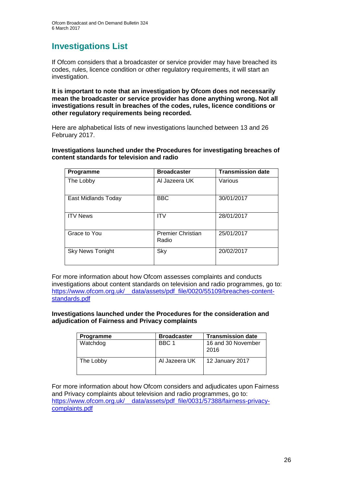# **Investigations List**

If Ofcom considers that a broadcaster or service provider may have breached its codes, rules, licence condition or other regulatory requirements, it will start an investigation.

**It is important to note that an investigation by Ofcom does not necessarily mean the broadcaster or service provider has done anything wrong. Not all investigations result in breaches of the codes, rules, licence conditions or other regulatory requirements being recorded.**

Here are alphabetical lists of new investigations launched between 13 and 26 February 2017.

**Investigations launched under the Procedures for investigating breaches of content standards for television and radio**

| Programme               | <b>Broadcaster</b>                | <b>Transmission date</b> |
|-------------------------|-----------------------------------|--------------------------|
| The Lobby               | Al Jazeera UK                     | Various                  |
| East Midlands Today     | <b>BBC</b>                        | 30/01/2017               |
| <b>ITV News</b>         | <b>ITV</b>                        | 28/01/2017               |
| Grace to You            | <b>Premier Christian</b><br>Radio | 25/01/2017               |
| <b>Sky News Tonight</b> | Sky                               | 20/02/2017               |

For more information about how Ofcom assesses complaints and conducts investigations about content standards on television and radio programmes, go to: [https://www.ofcom.org.uk/\\_\\_data/assets/pdf\\_file/0020/55109/breaches-content](https://www.ofcom.org.uk/__data/assets/pdf_file/0020/55109/breaches-content-standards.pdf)[standards.pdf](https://www.ofcom.org.uk/__data/assets/pdf_file/0020/55109/breaches-content-standards.pdf)

#### **Investigations launched under the Procedures for the consideration and adjudication of Fairness and Privacy complaints**

| <b>Programme</b> | <b>Broadcaster</b> | <b>Transmission date</b>   |
|------------------|--------------------|----------------------------|
| Watchdog         | BBC 1              | 16 and 30 November<br>2016 |
| The Lobby        | Al Jazeera UK      | 12 January 2017            |

For more information about how Ofcom considers and adjudicates upon Fairness and Privacy complaints about television and radio programmes, go to: https://www.ofcom.org.uk/ data/assets/pdf\_file/0031/57388/fairness-privacy[complaints.pdf](https://www.ofcom.org.uk/__data/assets/pdf_file/0031/57388/fairness-privacy-complaints.pdf)